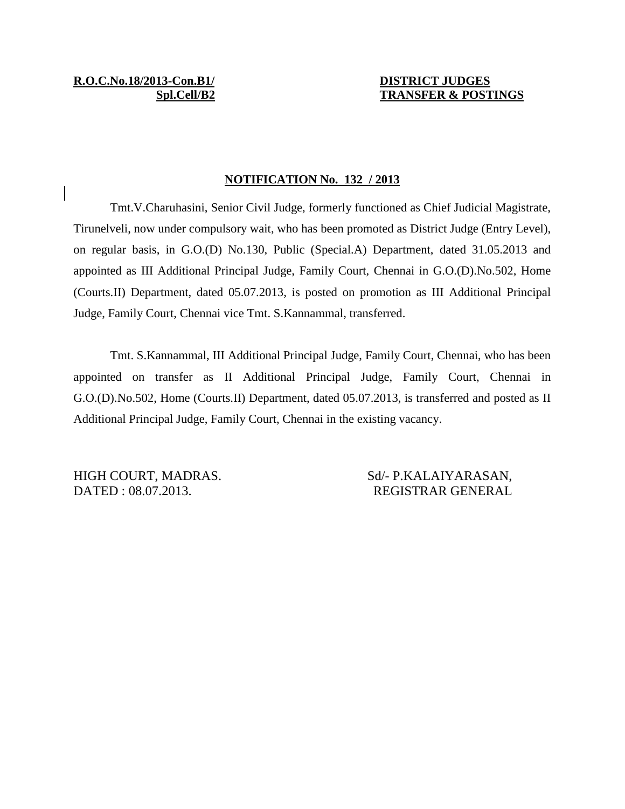# **Spl.Cell/B2 TRANSFER & POSTINGS**

#### **NOTIFICATION No. 132 / 2013**

Tmt.V.Charuhasini, Senior Civil Judge, formerly functioned as Chief Judicial Magistrate, Tirunelveli, now under compulsory wait, who has been promoted as District Judge (Entry Level), on regular basis, in G.O.(D) No.130, Public (Special.A) Department, dated 31.05.2013 and appointed as III Additional Principal Judge, Family Court, Chennai in G.O.(D).No.502, Home (Courts.II) Department, dated 05.07.2013, is posted on promotion as III Additional Principal Judge, Family Court, Chennai vice Tmt. S.Kannammal, transferred.

Tmt. S.Kannammal, III Additional Principal Judge, Family Court, Chennai, who has been appointed on transfer as II Additional Principal Judge, Family Court, Chennai in G.O.(D).No.502, Home (Courts.II) Department, dated 05.07.2013, is transferred and posted as II Additional Principal Judge, Family Court, Chennai in the existing vacancy.

HIGH COURT, MADRAS. Sd/- P.KALAIYARASAN, DATED : 08.07.2013. REGISTRAR GENERAL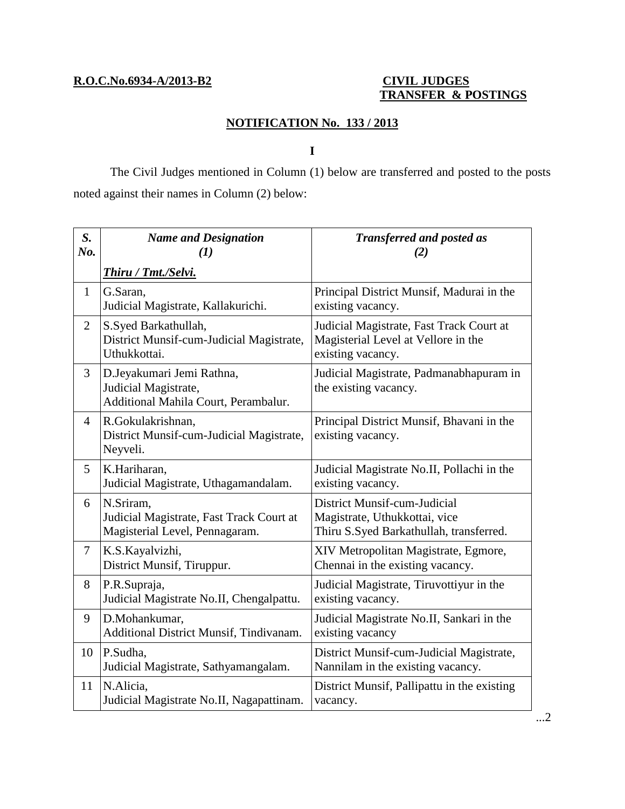### **R.O.C.No.6934-A/2013-B2 CIVIL JUDGES**

## **TRANSFER & POSTINGS**

### **NOTIFICATION No. 133 / 2013**

**I**

The Civil Judges mentioned in Column (1) below are transferred and posted to the posts noted against their names in Column (2) below:

| $S_{\cdot}$<br>No. | <b>Name and Designation</b><br>(1)                                                        | <b>Transferred and posted as</b><br>(2)                                                                  |
|--------------------|-------------------------------------------------------------------------------------------|----------------------------------------------------------------------------------------------------------|
|                    | <b>Thiru / Tmt./Selvi.</b>                                                                |                                                                                                          |
| $\mathbf{1}$       | G.Saran,<br>Judicial Magistrate, Kallakurichi.                                            | Principal District Munsif, Madurai in the<br>existing vacancy.                                           |
| $\overline{2}$     | S.Syed Barkathullah,<br>District Munsif-cum-Judicial Magistrate,<br>Uthukkottai.          | Judicial Magistrate, Fast Track Court at<br>Magisterial Level at Vellore in the<br>existing vacancy.     |
| 3                  | D.Jeyakumari Jemi Rathna,<br>Judicial Magistrate,<br>Additional Mahila Court, Perambalur. | Judicial Magistrate, Padmanabhapuram in<br>the existing vacancy.                                         |
| $\overline{4}$     | R.Gokulakrishnan,<br>District Munsif-cum-Judicial Magistrate,<br>Neyveli.                 | Principal District Munsif, Bhavani in the<br>existing vacancy.                                           |
| 5                  | K.Hariharan,<br>Judicial Magistrate, Uthagamandalam.                                      | Judicial Magistrate No.II, Pollachi in the<br>existing vacancy.                                          |
| 6                  | N.Sriram,<br>Judicial Magistrate, Fast Track Court at<br>Magisterial Level, Pennagaram.   | District Munsif-cum-Judicial<br>Magistrate, Uthukkottai, vice<br>Thiru S.Syed Barkathullah, transferred. |
| $\tau$             | K.S.Kayalvizhi,<br>District Munsif, Tiruppur.                                             | XIV Metropolitan Magistrate, Egmore,<br>Chennai in the existing vacancy.                                 |
| 8                  | P.R.Supraja,<br>Judicial Magistrate No.II, Chengalpattu.                                  | Judicial Magistrate, Tiruvottiyur in the<br>existing vacancy.                                            |
| 9                  | D.Mohankumar,<br>Additional District Munsif, Tindivanam.                                  | Judicial Magistrate No.II, Sankari in the<br>existing vacancy                                            |
| 10                 | P.Sudha,<br>Judicial Magistrate, Sathyamangalam.                                          | District Munsif-cum-Judicial Magistrate,<br>Nannilam in the existing vacancy.                            |
| 11                 | N.Alicia,<br>Judicial Magistrate No.II, Nagapattinam.                                     | District Munsif, Pallipattu in the existing<br>vacancy.                                                  |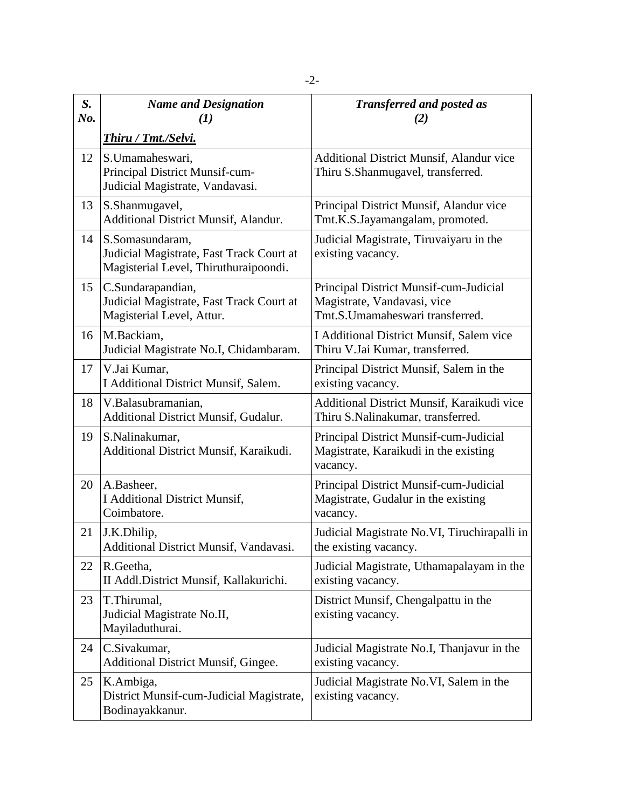| S.<br>No. | <b>Name and Designation</b><br>$\bf(1)$                                                              | <b>Transferred and posted as</b><br>(2)                                                                  |
|-----------|------------------------------------------------------------------------------------------------------|----------------------------------------------------------------------------------------------------------|
|           | Thiru / Tmt./Selvi.                                                                                  |                                                                                                          |
| 12        | S.Umamaheswari,<br>Principal District Munsif-cum-<br>Judicial Magistrate, Vandavasi.                 | Additional District Munsif, Alandur vice<br>Thiru S.Shanmugavel, transferred.                            |
| 13        | S.Shanmugavel,<br>Additional District Munsif, Alandur.                                               | Principal District Munsif, Alandur vice<br>Tmt.K.S.Jayamangalam, promoted.                               |
| 14        | S.Somasundaram,<br>Judicial Magistrate, Fast Track Court at<br>Magisterial Level, Thiruthuraipoondi. | Judicial Magistrate, Tiruvaiyaru in the<br>existing vacancy.                                             |
| 15        | C.Sundarapandian,<br>Judicial Magistrate, Fast Track Court at<br>Magisterial Level, Attur.           | Principal District Munsif-cum-Judicial<br>Magistrate, Vandavasi, vice<br>Tmt.S.Umamaheswari transferred. |
| 16        | M.Backiam,<br>Judicial Magistrate No.I, Chidambaram.                                                 | I Additional District Munsif, Salem vice<br>Thiru V.Jai Kumar, transferred.                              |
| 17        | V.Jai Kumar,<br>I Additional District Munsif, Salem.                                                 | Principal District Munsif, Salem in the<br>existing vacancy.                                             |
| 18        | V.Balasubramanian,<br>Additional District Munsif, Gudalur.                                           | Additional District Munsif, Karaikudi vice<br>Thiru S.Nalinakumar, transferred.                          |
| 19        | S.Nalinakumar,<br>Additional District Munsif, Karaikudi.                                             | Principal District Munsif-cum-Judicial<br>Magistrate, Karaikudi in the existing<br>vacancy.              |
| 20        | A.Basheer,<br>I Additional District Munsif,<br>Coimbatore.                                           | Principal District Munsif-cum-Judicial<br>Magistrate, Gudalur in the existing<br>vacancy.                |
| 21        | J.K.Dhilip,<br>Additional District Munsif, Vandavasi.                                                | Judicial Magistrate No.VI, Tiruchirapalli in<br>the existing vacancy.                                    |
| 22        | R.Geetha,<br>II Addl.District Munsif, Kallakurichi.                                                  | Judicial Magistrate, Uthamapalayam in the<br>existing vacancy.                                           |
| 23        | T.Thirumal,<br>Judicial Magistrate No.II,<br>Mayiladuthurai.                                         | District Munsif, Chengalpattu in the<br>existing vacancy.                                                |
| 24        | C.Sivakumar,<br>Additional District Munsif, Gingee.                                                  | Judicial Magistrate No.I, Thanjavur in the<br>existing vacancy.                                          |
| 25        | K.Ambiga,<br>District Munsif-cum-Judicial Magistrate,<br>Bodinayakkanur.                             | Judicial Magistrate No.VI, Salem in the<br>existing vacancy.                                             |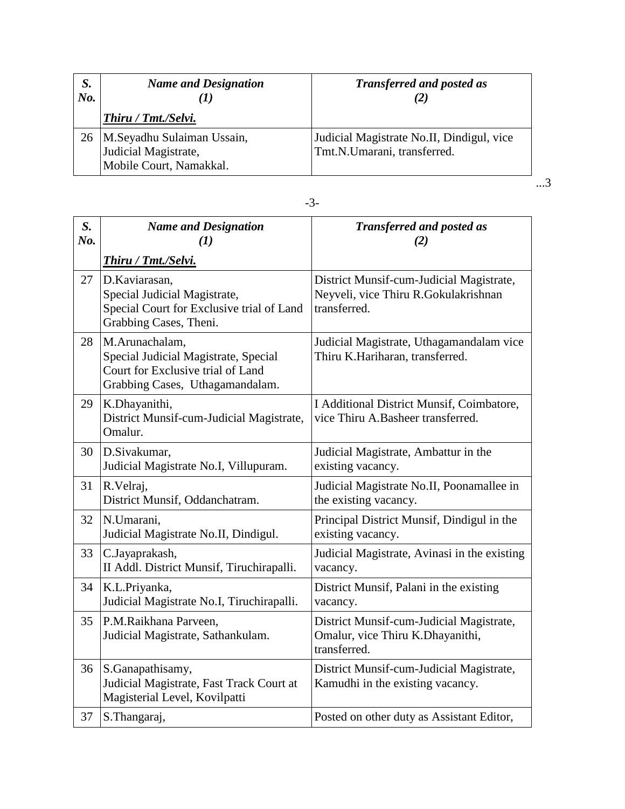| S.<br>No. | <b>Name and Designation</b>                                                        | <b>Transferred and posted as</b>                                         |
|-----------|------------------------------------------------------------------------------------|--------------------------------------------------------------------------|
|           | Thiru / Tmt./Selvi.                                                                |                                                                          |
|           | 26   M.Seyadhu Sulaiman Ussain,<br>Judicial Magistrate,<br>Mobile Court, Namakkal. | Judicial Magistrate No.II, Dindigul, vice<br>Tmt.N.Umarani, transferred. |

...3

| S.<br>No. | <b>Name and Designation</b><br>$\mathbf{U}$                                                                                    | <b>Transferred and posted as</b><br>(2)                                                          |
|-----------|--------------------------------------------------------------------------------------------------------------------------------|--------------------------------------------------------------------------------------------------|
|           | Thiru / Tmt./Selvi.                                                                                                            |                                                                                                  |
| 27        | D.Kaviarasan,<br>Special Judicial Magistrate,<br>Special Court for Exclusive trial of Land<br>Grabbing Cases, Theni.           | District Munsif-cum-Judicial Magistrate,<br>Neyveli, vice Thiru R.Gokulakrishnan<br>transferred. |
| 28        | M.Arunachalam,<br>Special Judicial Magistrate, Special<br>Court for Exclusive trial of Land<br>Grabbing Cases, Uthagamandalam. | Judicial Magistrate, Uthagamandalam vice<br>Thiru K.Hariharan, transferred.                      |
| 29        | K.Dhayanithi,<br>District Munsif-cum-Judicial Magistrate,<br>Omalur.                                                           | I Additional District Munsif, Coimbatore,<br>vice Thiru A.Basheer transferred.                   |
| 30        | D.Sivakumar,<br>Judicial Magistrate No.I, Villupuram.                                                                          | Judicial Magistrate, Ambattur in the<br>existing vacancy.                                        |
| 31        | R.Velraj,<br>District Munsif, Oddanchatram.                                                                                    | Judicial Magistrate No.II, Poonamallee in<br>the existing vacancy.                               |
| 32        | N.Umarani,<br>Judicial Magistrate No.II, Dindigul.                                                                             | Principal District Munsif, Dindigul in the<br>existing vacancy.                                  |
| 33        | C.Jayaprakash,<br>II Addl. District Munsif, Tiruchirapalli.                                                                    | Judicial Magistrate, Avinasi in the existing<br>vacancy.                                         |
| 34        | K.L.Priyanka,<br>Judicial Magistrate No.I, Tiruchirapalli.                                                                     | District Munsif, Palani in the existing<br>vacancy.                                              |
| 35        | P.M.Raikhana Parveen,<br>Judicial Magistrate, Sathankulam.                                                                     | District Munsif-cum-Judicial Magistrate,<br>Omalur, vice Thiru K.Dhayanithi,<br>transferred.     |
| 36        | S.Ganapathisamy,<br>Judicial Magistrate, Fast Track Court at<br>Magisterial Level, Kovilpatti                                  | District Munsif-cum-Judicial Magistrate,<br>Kamudhi in the existing vacancy.                     |
| 37        | S.Thangaraj,                                                                                                                   | Posted on other duty as Assistant Editor,                                                        |

-3-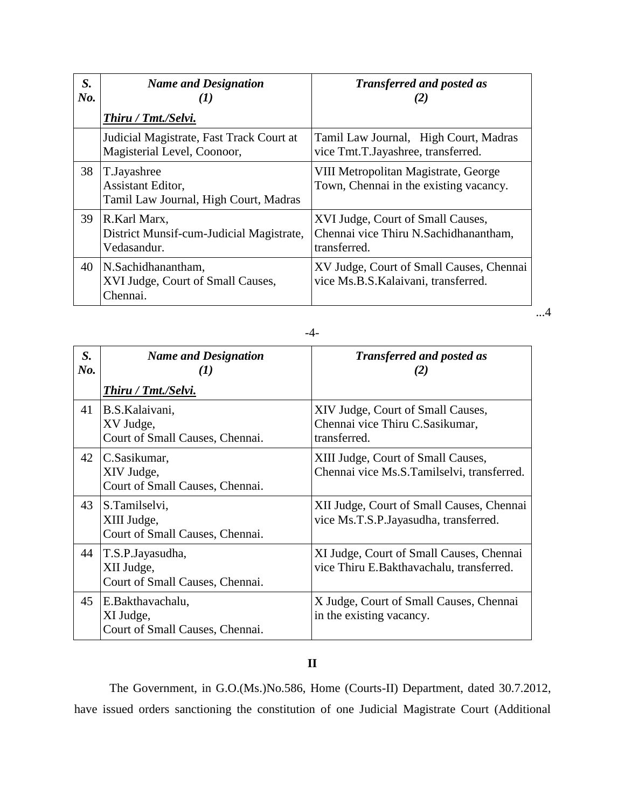| S.<br>No. | <b>Name and Designation</b>                                               | <b>Transferred and posted as</b><br>(2)                                                    |
|-----------|---------------------------------------------------------------------------|--------------------------------------------------------------------------------------------|
|           | Thiru / Tmt./Selvi.                                                       |                                                                                            |
|           | Judicial Magistrate, Fast Track Court at<br>Magisterial Level, Coonoor,   | Tamil Law Journal, High Court, Madras<br>vice Tmt.T.Jayashree, transferred.                |
| 38        | T.Jayashree<br>Assistant Editor,<br>Tamil Law Journal, High Court, Madras | VIII Metropolitan Magistrate, George<br>Town, Chennai in the existing vacancy.             |
| 39        | R.Karl Marx.<br>District Munsif-cum-Judicial Magistrate,<br>Vedasandur.   | XVI Judge, Court of Small Causes,<br>Chennai vice Thiru N.Sachidhanantham,<br>transferred. |
| 40        | N.Sachidhanantham,<br>XVI Judge, Court of Small Causes,<br>Chennai.       | XV Judge, Court of Small Causes, Chennai<br>vice Ms.B.S.Kalaivani, transferred.            |

| $S_{\cdot}$<br>No. | <b>Name and Designation</b><br>$\bf(I)$                           | <b>Transferred and posted as</b><br>(2)                                              |
|--------------------|-------------------------------------------------------------------|--------------------------------------------------------------------------------------|
|                    | Thiru / Tmt./Selvi.                                               |                                                                                      |
| 41                 | B.S.Kalaivani,<br>XV Judge,<br>Court of Small Causes, Chennai.    | XIV Judge, Court of Small Causes,<br>Chennai vice Thiru C.Sasikumar,<br>transferred. |
| 42                 | C.Sasikumar,<br>XIV Judge,<br>Court of Small Causes, Chennai.     | XIII Judge, Court of Small Causes,<br>Chennai vice Ms.S.Tamilselvi, transferred.     |
| 43                 | S.Tamilselvi,<br>XIII Judge,<br>Court of Small Causes, Chennai.   | XII Judge, Court of Small Causes, Chennai<br>vice Ms.T.S.P. Jayasudha, transferred.  |
| 44                 | T.S.P.Jayasudha,<br>XII Judge,<br>Court of Small Causes, Chennai. | XI Judge, Court of Small Causes, Chennai<br>vice Thiru E.Bakthavachalu, transferred. |
| 45                 | E.Bakthavachalu,<br>XI Judge,<br>Court of Small Causes, Chennai.  | X Judge, Court of Small Causes, Chennai<br>in the existing vacancy.                  |

### -4-

...4

#### **II**

The Government, in G.O.(Ms.)No.586, Home (Courts-II) Department, dated 30.7.2012, have issued orders sanctioning the constitution of one Judicial Magistrate Court (Additional